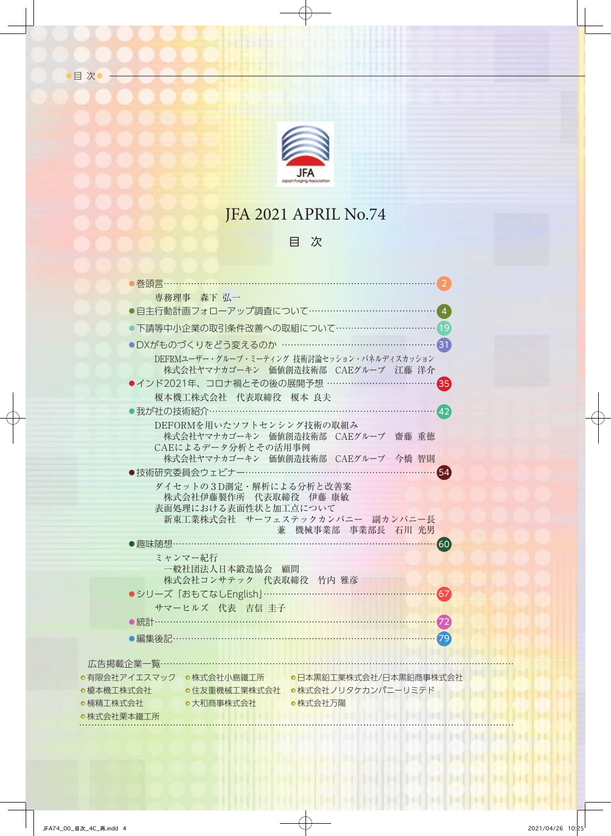

目次

## JFA 2021 APRIL No.74

### 目 次

| - - 春頭言                                                                       |  |
|-------------------------------------------------------------------------------|--|
| 専務理事 森下 弘一                                                                    |  |
|                                                                               |  |
| ●下請等中小企業の取引条件改善への取組について…………………………… 19                                         |  |
| ●DXがものづくりをどう変えるのか ……………………………………………31                                         |  |
| DEFRMユーザー・グループ・ミーティング 技術討論セッション・パネルディスカッション                                   |  |
| 株式会社ヤマナカゴーキン 価値創造技術部 CAEグループ 江藤 洋介                                            |  |
| ●インド2021年、コロナ禍とその後の展開予想 ………………………<br>35)                                      |  |
| 榎本機工株式会社 代表取締役 榎本 良夫                                                          |  |
| ●我が社の技術紹介………………………………………………<br>(42)                                           |  |
| DEFORMを用いたソフトセンシング技術の取組み<br>株式会社ヤマナカゴーキン 価値創造技術部 CAEグループ 齋藤 重徳                |  |
| CAEによるデータ分析とその活用事例                                                            |  |
| 株式会社ヤマナカゴーキン 価値創造技術部 CAEグループ 今橋 智則                                            |  |
| ●技術研究委員会ウェビナー…………………………………………………                                              |  |
| ダイセットの3D測定·解析による分析と改善案<br>株式会社伊藤製作所 代表取締役 伊藤 康敏                               |  |
| 表面処理における表面性状と加工点について                                                          |  |
| 新東工業株式会社 サーフェステックカンパニー 副カンパニー長                                                |  |
| 兼 機械事業部 事業部長 石川 光男                                                            |  |
| ●趣味随想 ………<br>(60)                                                             |  |
| ミャンマー紀行<br>一般社団法人日本鍛造協会 顧問                                                    |  |
| 株式会社コンサテック 代表取締役 竹内 雅彦                                                        |  |
| ●シリーズ「おもてなしEnglish」………………………………………<br>67                                      |  |
| サマーヒルズ 代表 吉信 圭子                                                               |  |
| ●統計…………                                                                       |  |
| ●編集後記………………………………………………………………………<br>79                                        |  |
|                                                                               |  |
| 広告掲載企業一覧………                                                                   |  |
| ●有限会社アイエスマック ●株式会社小島鐵工所 ●日本黒鉛工業株式会社/日本黒鉛商事株式会社                                |  |
| ●榎本機工株式会社 o住友重機械工業株式会社 ●株式会社ノリタケカンパニーリミテド<br>●楠精工株式会社<br>●大和商事株式会社<br>●株式会社万陽 |  |
| ●株式会社栗本鐵工所                                                                    |  |
|                                                                               |  |
|                                                                               |  |

bid

**Defined before the** 

**DECIDE** 

п